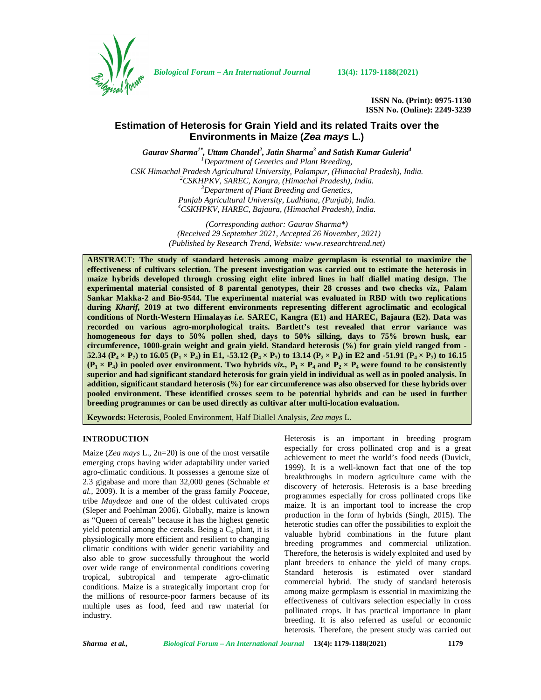

*Biological Forum – An International Journal* **13(4): 1179-1188(2021)**

**ISSN No. (Print): 0975-1130 ISSN No. (Online): 2249-3239**

# **Estimation of Heterosis for Grain Yield and its related Traits over the Environments in Maize (***Zea mays* **L.)**

*Gaurav Sharma1\* , Uttam Chandel<sup>2</sup> , Jatin Sharma<sup>3</sup> and Satish Kumar Guleria<sup>4</sup> <sup>1</sup>Department of Genetics and Plant Breeding,* CSK Himachal Pradesh Agricultural University, Palampur, (Himachal Pradesh), India.<br><sup>2</sup>CSKHPKV, SAREC, Kangra, (Himachal Pradesh), India.<br><sup>3</sup>Department of Plant Breeding and Genetics, *Punjab Agricultural University, Ludhiana, (Punjab), India. <sup>4</sup>CSKHPKV, HAREC, Bajaura, (Himachal Pradesh), India.*

> *(Corresponding author: Gaurav Sharma\*) (Received 29 September 2021, Accepted 26 November, 2021) (Published by Research Trend, Website: [www.researchtrend.net\)](www.researchtrend.net)*

**ABSTRACT: The study of standard heterosis among maize germplasm is essential to maximize the effectiveness of cultivars selection. The present investigation was carried out to estimate the heterosis in maize hybrids developed through crossing eight elite inbred lines in half diallel mating design. The experimental material consisted of 8 parental genotypes, their 28 crosses and two checks** *viz.,* **Palam Sankar Makka-2 and Bio-9544. The experimental material was evaluated in RBD with two replications during** *Kharif,* **2019 at two different environments representing different agroclimatic and ecological conditions of North-Western Himalayas** *i.e.* **SAREC, Kangra (E1) and HAREC, Bajaura (E2). Data was recorded on various agro-morphological traits. Bartlett's test revealed that error variance was homogeneous for days to 50% pollen shed, days to 50% silking, days to 75% brown husk, ear circumference, 1000-grain weight and grain yield. Standard heterosis (%) for grain yield ranged from -** 52.34 ( $P_4 \times P_7$ ) to 16.05 ( $P_1 \times P_4$ ) in E1, -53.12 ( $P_4 \times P_7$ ) to 13.14 ( $P_2 \times P_4$ ) in E2 and -51.91 ( $P_4 \times P_7$ ) to 16.15  $(P_1 \times P_4)$  in pooled over environment. Two hybrids *viz.*,  $P_1 \times P_4$  and  $P_2 \times P_4$  were found to be consistently **superior and had significant standard heterosis for grain yield in individual as well as in pooled analysis. In addition, significant standard heterosis (%) for ear circumference was also observed for these hybrids over pooled environment. These identified crosses seem to be potential hybrids and can be used in further breeding programmes or can be used directly as cultivar after multi-location evaluation.**

**Keywords:** Heterosis, Pooled Environment, Half Diallel Analysis, *Zea mays* L.

#### **INTRODUCTION**

Maize (*Zea mays* L., 2n=20) is one of the most versatile emerging crops having wider adaptability under varied agro-climatic conditions. It possesses a genome size of 2.3 gigabase and more than 32,000 genes (Schnable *et al.,* 2009). It is a member of the grass family *Poaceae*, tribe *Maydeae* and one of the oldest cultivated crops (Sleper and Poehlman 2006). Globally, maize is known as "Queen of cereals" because it has the highest genetic yield potential among the cereals. Being a  $C_4$  plant, it is physiologically more efficient and resilient to changing climatic conditions with wider genetic variability and also able to grow successfully throughout the world over wide range of environmental conditions covering tropical, subtropical and temperate agro-climatic conditions. Maize is a strategically important crop for the millions of resource-poor farmers because of its multiple uses as food, feed and raw material for industry.

Heterosis is an important in breeding program especially for cross pollinated crop and is a great achievement to meet the world's food needs (Duvick, 1999). It is a well-known fact that one of the top breakthroughs in modern agriculture came with the discovery of heterosis. Heterosis is a base breeding programmes especially for cross pollinated crops like maize. It is an important tool to increase the crop production in the form of hybrids (Singh, 2015). The heterotic studies can offer the possibilities to exploit the valuable hybrid combinations in the future plant breeding programmes and commercial utilization. Therefore, the heterosis is widely exploited and used by plant breeders to enhance the yield of many crops. Standard heterosis is estimated over standard commercial hybrid. The study of standard heterosis among maize germplasm is essential in maximizing the effectiveness of cultivars selection especially in cross pollinated crops. It has practical importance in plant breeding. It is also referred as useful or economic heterosis. Therefore, the present study was carried out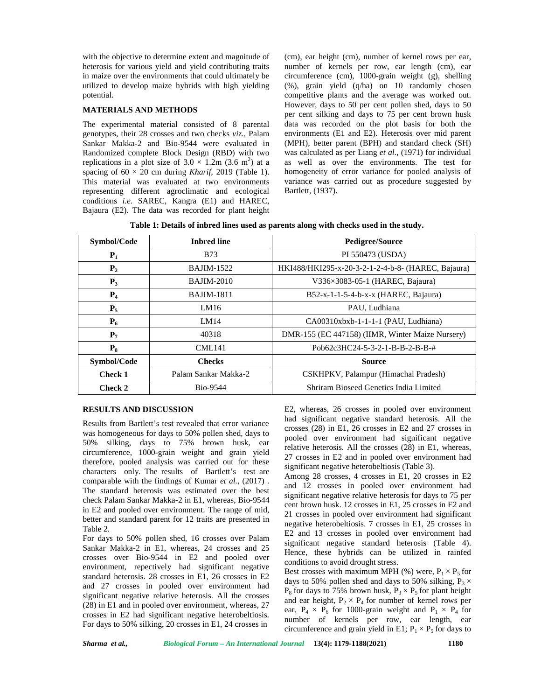with the objective to determine extent and magnitude of heterosis for various yield and yield contributing traits in maize over the environments that could ultimately be utilized to develop maize hybrids with high yielding potential.

#### **MATERIALS AND METHODS**

The experimental material consisted of 8 parental genotypes, their 28 crosses and two checks *viz.,* Palam Sankar Makka-2 and Bio-9544 were evaluated in Randomized complete Block Design (RBD) with two replications in a plot size of  $3.0 \times 1.2$ m (3.6 m<sup>2</sup>) at a spacing of  $60 \times 20$  cm during *Kharif*, 2019 (Table 1). This material was evaluated at two environments representing different agroclimatic and ecological conditions *i.e.* SAREC, Kangra (E1) and HAREC, Bajaura (E2). The data was recorded for plant height

(cm), ear height (cm), number of kernel rows per ear, number of kernels per row, ear length (cm), ear circumference (cm), 1000-grain weight (g), shelling (%), grain yield (q/ha) on 10 randomly chosen competitive plants and the average was worked out. However, days to 50 per cent pollen shed, days to 50 per cent silking and days to 75 per cent brown husk data was recorded on the plot basis for both the environments (E1 and E2). Heterosis over mid parent (MPH), better parent (BPH) and standard check (SH) was calculated as per Liang *et al*., (1971) for individual as well as over the environments. The test for homogeneity of error variance for pooled analysis of variance was carried out as procedure suggested by Bartlett, (1937).

| Table 1: Details of inbred lines used as parents along with checks used in the study. |  |
|---------------------------------------------------------------------------------------|--|
|---------------------------------------------------------------------------------------|--|

| Symbol/Code    | <b>Inbred line</b>   | <b>Pedigree/Source</b>                             |
|----------------|----------------------|----------------------------------------------------|
| $P_1$          | <b>B73</b>           | PI 550473 (USDA)                                   |
| P <sub>2</sub> | <b>BAJIM-1522</b>    | HKI488/HKI295-x-20-3-2-1-2-4-b-8- (HAREC, Bajaura) |
| $P_3$          | <b>BAJIM-2010</b>    | V336×3083-05-1 (HAREC, Bajaura)                    |
| $P_4$          | <b>BAJIM-1811</b>    | $B52-x-1-1-5-4-b-x-x$ (HAREC, Bajaura)             |
| $P_5$          | LM16                 | PAU, Ludhiana                                      |
| $P_6$          | <b>LM14</b>          | CA00310xbxb-1-1-1-1 (PAU, Ludhiana)                |
| $P_7$          | 40318                | DMR-155 (EC 447158) (IIMR, Winter Maize Nursery)   |
| $P_8$          | <b>CML141</b>        | Pob62c3HC24-5-3-2-1-B-B-2-B-B-#                    |
| Symbol/Code    | <b>Checks</b>        | <b>Source</b>                                      |
| <b>Check 1</b> | Palam Sankar Makka-2 | CSKHPKV, Palampur (Himachal Pradesh)               |
| Check 2        | <b>Bio-9544</b>      | Shriram Bioseed Genetics India Limited             |

# **RESULTS AND DISCUSSION**

Results from Bartlett's test revealed that error variance was homogeneous for days to 50% pollen shed, days to 50% silking, days to 75% brown husk, ear circumference, 1000-grain weight and grain yield therefore, pooled analysis was carried out for these characters only. The results of Bartlett's test are comparable with the findings of Kumar *et al.*, (2017) . The standard heterosis was estimated over the best check Palam Sankar Makka-2 in E1, whereas, Bio-9544 in E2 and pooled over environment. The range of mid, better and standard parent for 12 traits are presented in Table 2.

For days to 50% pollen shed, 16 crosses over Palam Sankar Makka-2 in E1, whereas, 24 crosses and 25 crosses over Bio-9544 in E2 and pooled over environment, repectively had significant negative standard heterosis. 28 crosses in E1, 26 crosses in E2 and 27 crosses in pooled over environment had significant negative relative heterosis. All the crosses (28) in E1 and in pooled over environment, whereas, 27 crosses in E2 had significant negative heterobeltiosis. For days to 50% silking, 20 crosses in E1, 24 crosses in

E2, whereas, 26 crosses in pooled over environment had significant negative standard heterosis. All the crosses (28) in E1, 26 crosses in E2 and 27 crosses in pooled over environment had significant negative relative heterosis. All the crosses (28) in E1, whereas, 27 crosses in E2 and in pooled over environment had significant negative heterobeltiosis (Table 3).

Among 28 crosses, 4 crosses in E1, 20 crosses in E2 and 12 crosses in pooled over environment had significant negative relative heterosis for days to 75 per cent brown husk. 12 crosses in E1, 25 crosses in E2 and 21 crosses in pooled over environment had significant negative heterobeltiosis. 7 crosses in E1, 25 crosses in E2 and 13 crosses in pooled over environment had significant negative standard heterosis (Table 4). Hence, these hybrids can be utilized in rainfed conditions to avoid drought stress.

Best crosses with maximum MPH (%) were,  $P_1 \times P_5$  for days to 50% pollen shed and days to 50% silking,  $P_3 \times$  $P_8$  for days to 75% brown husk,  $P_3 \times P_5$  for plant height and ear height,  $P_2 \times P_4$  for number of kernel rows per ear,  $P_4 \times P_6$  for 1000-grain weight and  $P_1 \times P_4$  for number of kernels per row, ear length, ear circumference and grain yield in E1;  $P_1 \times P_5$  for days to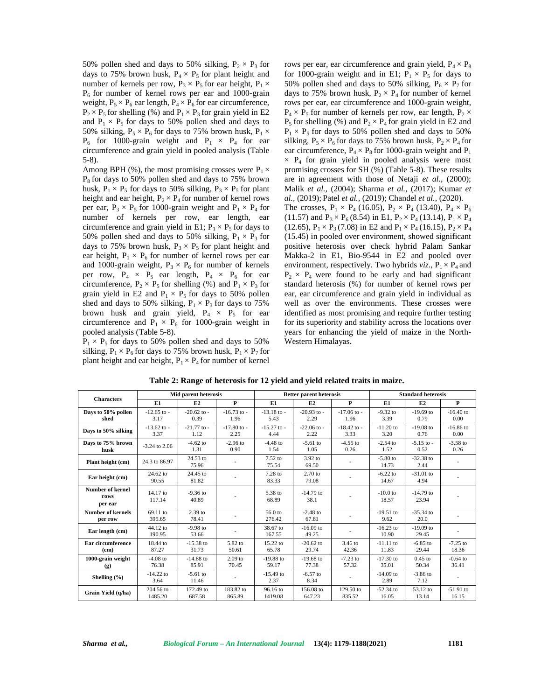50% pollen shed and days to 50% silking,  $P_2 \times P_3$  for days to 75% brown husk,  $P_4 \times P_5$  for plant height and number of kernels per row,  $P_3 \times P_5$  for ear height,  $P_1 \times$  $P_6$  for number of kernel rows per ear and 1000-grain weight,  $P_5 \times P_6$  ear length,  $P_4 \times P_6$  for ear circumference,  $P_2 \times P_5$  for shelling (%) and  $P_1 \times P_3$  for grain yield in E2 and  $P_1 \times P_5$  for days to 50% pollen shed and days to 50% silking,  $P_5 \times P_6$  for days to 75% brown husk,  $P_1 \times$  $P_6$  for 1000-grain weight and  $P_1 \times P_4$  for ear circumference and grain yield in pooled analysis (Table 5-8).

Among BPH (%), the most promising crosses were  $P_1 \times$  $P_8$  for days to 50% pollen shed and days to 75% brown husk,  $P_1 \times P_5$  for days to 50% silking,  $P_3 \times P_5$  for plant height and ear height,  $P_2 \times P_4$  for number of kernel rows per ear,  $P_3 \times P_5$  for 1000-grain weight and  $P_1 \times P_4$  for number of kernels per row, ear length, ear circumference and grain yield in E1;  $P_1 \times P_5$  for days to 50% pollen shed and days to 50% silking,  $P_1 \times P_3$  for days to 75% brown husk,  $P_3 \times P_5$  for plant height and ear height,  $P_1 \times P_6$  for number of kernel rows per ear and 1000-grain weight,  $P_3 \times P_6$  for number of kernels per row,  $P_4 \times P_5$  ear length,  $P_4 \times P_6$  for ear circumference,  $P_2 \times P_5$  for shelling (%) and  $P_1 \times P_3$  for grain yield in E2 and  $P_1 \times P_5$  for days to 50% pollen shed and days to 50% silking,  $P_1 \times P_3$  for days to 75% brown husk and grain yield,  $P_4 \times P_5$  for ear circumference and  $P_1 \times P_6$  for 1000-grain weight in pooled analysis (Table 5-8).

 $P_1 \times P_5$  for days to 50% pollen shed and days to 50% silking,  $P_1 \times P_6$  for days to 75% brown husk,  $P_1 \times P_7$  for plant height and ear height,  $P_1 \times P_4$  for number of kernel

rows per ear, ear circumference and grain yield,  $P_4 \times P_8$ for 1000-grain weight and in E1;  $P_1 \times P_5$  for days to 50% pollen shed and days to 50% silking,  $P_6 \times P_7$  for days to 75% brown husk,  $P_2 \times P_4$  for number of kernel rows per ear, ear circumference and 1000-grain weight,  $P_4 \times P_5$  for number of kernels per row, ear length,  $P_2 \times$  $P_5$  for shelling (%) and  $P_2 \times P_4$  for grain yield in E2 and  $P_1 \times P_5$  for days to 50% pollen shed and days to 50% silking,  $P_5 \times P_6$  for days to 75% brown husk,  $P_2 \times P_4$  for ear circumference,  $P_4 \times P_8$  for 1000-grain weight and  $P_1$  $\times$  P<sub>4</sub> for grain yield in pooled analysis were most promising crosses for SH (%) (Table 5-8). These results are in agreement with those of Netaji *et al*., (2000); Malik *et al.,* (2004); Sharma *et al.*, (2017); Kumar *et al.,* (2019); Patel *et al.,* (2019); Chandel *et al.,* (2020). The crosses,  $P_1 \times P_4$  (16.05),  $P_2 \times P_4$  (13.40),  $P_4 \times P_6$ (11.57) and  $P_3 \times P_6$  (8.54) in E1,  $P_2 \times P_4$  (13.14),  $P_1 \times P_4$ (12.65),  $P_1 \times P_3$  (7.08) in E2 and  $P_1 \times P_4$  (16.15),  $P_2 \times P_4$ (15.45) in pooled over environment, showed significant positive heterosis over check hybrid Palam Sankar Makka-2 in E1, Bio-9544 in E2 and pooled over environment, respectively. Two hybrids *viz.*,  $P_1 \times P_4$  and  $P_2 \times P_4$  were found to be early and had significant standard heterosis (%) for number of kernel rows per ear, ear circumference and grain yield in individual as well as over the environments. These crosses were identified as most promising and require further testing for its superiority and stability across the locations over years for enhancing the yield of maize in the North- Western Himalayas.

| <b>Characters</b>                          |                         | Mid parent heterosis    |                         |                         | <b>Better parent heterosis</b> |                         | <b>Standard heterosis</b> |                        |                      |  |  |
|--------------------------------------------|-------------------------|-------------------------|-------------------------|-------------------------|--------------------------------|-------------------------|---------------------------|------------------------|----------------------|--|--|
|                                            | E1                      | E2                      | $\mathbf{P}$            | E1                      | E2                             | P                       | E1                        | E2                     | $\mathbf{P}$         |  |  |
| Days to 50% pollen<br>shed                 | $-12.65$ to $-$<br>3.17 | $-20.62$ to $-$<br>0.39 | $-16.73$ to $-$<br>1.96 | $-13.18$ to $-$<br>5.43 | $-20.93$ to $-$<br>2.29        | $-17.06$ to $-$<br>1.96 | $-9.32$ to<br>3.39        | $-19.69$ to<br>0.79    | $-16.40$ to<br>0.00  |  |  |
| Days to 50% silking                        | $-13.62$ to $-$<br>3.37 | $-21.77$ to $-$<br>1.12 | $-17.80$ to $-$<br>2.25 | $-15.27$ to $-$<br>4.44 | $-22.06$ to $-$<br>2.22        | $-18.42$ to $-$<br>3.33 | $-11.20$ to<br>3.20       | $-19.08$ to<br>0.76    |                      |  |  |
| Days to 75% brown<br>husk                  | $-3.24$ to 2.06         | $-4.62$ to<br>1.31      | $-2.96$ to<br>0.90      | $-4.48$ to<br>1.54      | $-5.61$ to<br>1.05             | $-4.55$ to<br>0.26      | $-2.54$ to<br>1.52        | $-5.15$ to $-$<br>0.52 | $-3.58$ to<br>0.26   |  |  |
| Plant height (cm)                          | 24.3 to 86.97           | 24.53 to<br>75.96       |                         | $7.52$ to<br>75.54      | $3.92$ to<br>69.50             |                         | $-5.80$ to<br>14.73       | $-32.38$ to<br>2.44    |                      |  |  |
| Ear height (cm)                            | $24.62$ to<br>90.55     | 24.45 to<br>81.82       |                         | $7.28$ to<br>83.33      | $2.70$ to<br>79.08             |                         | $-6.22$ to<br>14.67       | $-31.01$ to<br>4.94    |                      |  |  |
| <b>Number of kernel</b><br>rows<br>per ear | 14.17 to<br>117.14      | $-9.36$ to<br>40.89     |                         | 5.38 to<br>68.89        | $-14.79$ to<br>38.1            |                         | $-10.0$ to<br>18.57       | $-14.79$ to<br>23.94   |                      |  |  |
| <b>Number of kernels</b><br>per row        | 69.11 to<br>395.65      | $2.39$ to<br>78.41      |                         | 56.0 to<br>276.42       | $-2.48$ to<br>67.81            |                         | $-19.51$ to<br>9.62       | $-35.34$ to<br>20.0    |                      |  |  |
| Ear length (cm)                            | 44.12 to<br>190.95      | $-9.98$ to<br>53.66     |                         | 38.67 to<br>167.55      | $-16.09$ to<br>49.25           |                         | $-16.23$ to<br>10.90      | $-19.09$ to<br>29.45   |                      |  |  |
| Ear circumference<br>(c <sub>m</sub> )     | 18.44 to<br>87.27       | $-15.38$ to<br>31.73    | 5.82 to<br>50.61        | 15.22 to<br>65.78       | $-20.62$ to<br>29.74           | 3.46 to<br>42.36        | $-11.11$ to<br>11.83      | $-6.85$ to<br>29.44    | $-7.25$ to<br>18.36  |  |  |
| 1000-grain weight<br>(g)                   | $-4.08$ to<br>76.38     | $-14.88$ to<br>85.91    | $2.09$ to<br>70.45      | $-19.88$ to<br>59.17    | $-19.68$ to<br>77.38           | $-7.23$ to<br>57.32     | $-17.30$ to<br>35.01      | $0.45$ to<br>50.34     | $-0.64$ to<br>36.41  |  |  |
| Shelling $(\% )$                           | $-14.22$ to<br>3.64     | $-5.61$ to<br>11.46     |                         | $-15.49$ to<br>2.37     | $-6.57$ to<br>8.34             |                         | $-14.09$ to<br>2.89       | $-3.86$ to<br>7.12     |                      |  |  |
| Grain Yield (q/ha)                         | 204.56 to<br>1485.20    | 172.49 to<br>687.58     | 183.82 to<br>865.89     | 96.16 to<br>1419.08     | 156.08 to<br>647.23            | 129.50 to<br>835.52     | $-52.34$ to<br>16.05      | 53.12 to<br>13.14      | $-51.91$ to<br>16.15 |  |  |

**Table 2: Range of heterosis for 12 yield and yield related traits in maize.**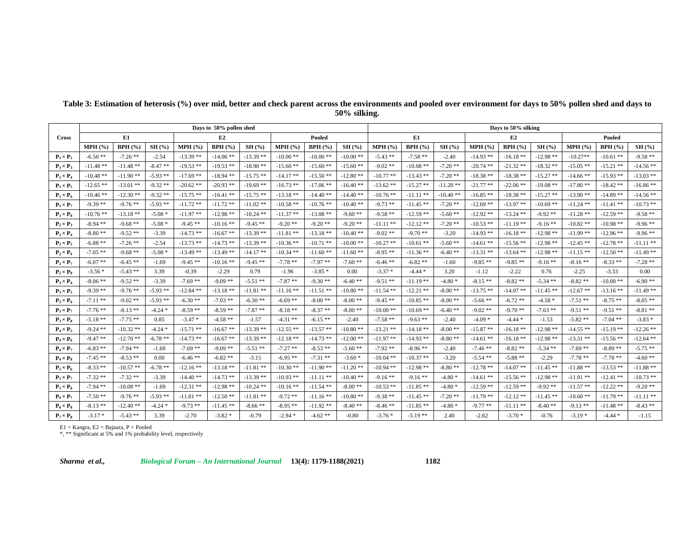|                  | Days to 50% pollen shed |             |            |             |             |             |             |             |             | Days to 50% silking |                |             |             |             |             |             |                |             |  |  |
|------------------|-------------------------|-------------|------------|-------------|-------------|-------------|-------------|-------------|-------------|---------------------|----------------|-------------|-------------|-------------|-------------|-------------|----------------|-------------|--|--|
| <b>Cross</b>     | E1.<br>BPH(%)<br>MPH(%) |             |            |             | E2          |             |             | Pooled      |             |                     | E1             |             |             | E2          |             |             | Pooled         |             |  |  |
|                  |                         |             | SH(%)      | MPH(%)      | BPH(%)      | SH(%)       | MPH(%)      | BPH(%)      | SH(%)       | $MPH$ (%)           | <b>BPH</b> (%) | SH(%)       | MPH(%)      | BPH(%)      | SH(%)       | MPH (%)     | <b>BPH</b> (%) | SH(%)       |  |  |
| $P_1 \times P_2$ | $-6.50**$               | $-7.26$ **  | $-2.54$    | $-13.39$ ** | $-14.06$ ** | $-13.39**$  | $-10.00$ ** | $-10.00**$  | $-10.00**$  | $-5.43**$           | $-7.58**$      | $-2.40$     | $-14.93$ ** | $-16.18**$  | $-12.98**$  | $-10.27**$  | -10.61 **      | $-9.58**$   |  |  |
| $P_1 \times P_3$ | $-11.48$ **             | $-11.48$ ** | $-8.47**$  | $-19.53$ ** | $-19.53$ ** | $-18.90**$  | $-15.60$ ** | $-15.60**$  | $-15.60**$  | $-9.02**$           | $-10.08**$     | $-7.20$ **  | $-20.74$ ** | $-21.32**$  | $-18.32**$  | $-15.05$ ** | $-15.21**$     | $-14.56**$  |  |  |
| $P_1 \times P_4$ | $-10.48**$              | $-11.90**$  | $-5.93$ ** | $-17.69$ ** | $-18.94$ ** | $-15.75$ ** | $-14.17**$  | $-15.50**$  | $-12.80**$  | $-10.77$ **         | $-13.43**$     | $-7.20$ **  | $-18.38**$  | $-18.38**$  | $-15.27**$  | $-14.66**$  | $-15.93**$     | $-13.03$ ** |  |  |
| $P_1 \times P_5$ | $-12.65$ **             | $-13.01$ ** | $-9.32**$  | $-20.62$ ** | $-20.93$ ** | $-19.69$ ** | $-16.73$ ** | $-17.06$ ** | $-16.40**$  | $-13.62**$          | $-15.27**$     | $-11.20$ ** | $-21.77$ ** | $-22.06$ ** | $-19.08**$  | $-17.80**$  | $-18.42**$     | $-16.86**$  |  |  |
| $P_1 \times P_6$ | $-10.46**$              | $-12.30**$  | $-9.32**$  | $-15.75$ ** | $-16.41$ ** | $-15.75$ ** | $-13.18**$  | $-14.40$ ** | $-14.40$ ** | $-10.76$ **         | $-11.11**$     | $-10.40**$  | $-16.85**$  | $-18.38**$  | $-15.27$ ** | $-13.90**$  | $-14.89**$     | $-14.56**$  |  |  |
| $P_1 \times P_7$ | $-9.39**$               | $-9.76**$   | $-5.93**$  | $-11.72$ ** | $-11.72$ ** | $-11.02**$  | $-10.58**$  | $-10.76**$  | $-10.40**$  | $-9.73$ **          | $-11.45**$     | $-7.20$ **  | $-12.69$ ** | $-13.97**$  | $-10.69$ ** | $-11.24$ ** | $-11.41**$     | $-10.73**$  |  |  |
| $P_1 \times P_8$ | $-10.76$ **             | $-13.18**$  | $-5.08*$   | $-11.97**$  | $-12.98**$  | $-10.24$ ** | $-11.37**$  | $-13.08$ ** | $-9.60**$   | $-9.58**$           | $-12.59$ **    | $-5.60**$   | $-12.92**$  | $-13.24$ ** | $-9.92**$   | $-11.28$ ** | $-12.59$ **    | $-9.58**$   |  |  |
| $P_2 \times P_3$ | $-8.94**$               | $-9.68**$   | $-5.08*$   | $-9.45**$   | $-10.16**$  | $-9.45**$   | $-9.20**$   | $-9.20$ **  | $-9.20$ **  | $-11.11**$          | $-12.12**$     | $-7.20$ **  | $-10.53$ ** | $-11.19**$  | $-9.16**$   | $-10.82**$  | $-10.98**$     | $-9.96**$   |  |  |
| $P_2 \times P_4$ | $-8.80**$               | $-9.52**$   | $-3.39$    | $-14.73$ ** | $-16.67**$  | $-13.39$ ** | $-11.81**$  | $-13.18**$  | $-10.40**$  | $-9.02**$           | $-9.70**$      | $-3.20$     | $-14.93$ ** | $-16.18**$  | $-12.98**$  | $-11.99$ ** | $-12.96**$     | $-9.96**$   |  |  |
| $P_2 \times P_5$ | $-6.88**$               | $-7.26$ **  | $-2.54$    | $-13.73$ ** | $-14.73$ ** | $-13.39**$  | $-10.36$ ** | $-10.71$ ** | $-10.00**$  | $-10.27$ **         | $-10.61**$     | $-5.60**$   | $-14.61$ ** | $-15.56$ ** | $-12.98**$  | $-12.45**$  | $-12.78$ **    | $-11.11$ ** |  |  |
| $P_2 \times P_6$ | $-7.05**$               | $-9.68**$   | $-5.08*$   | $-13.49$ ** | $-13.49$ ** | $-14.17**$  | $-10.34$ ** | $-11.60**$  | $-11.60**$  | $-8.95**$           | $-11.36**$     | $-6.40**$   | $-13.31$ ** | $-13.64$ ** | $-12.98**$  | $-11.15**$  | $-12.50**$     | $-11.49**$  |  |  |
| $P_2 \times P_7$ | $-6.07**$               | $-6.45**$   | $-1.69$    | $-9.45**$   | $-10.16**$  | $-9.45**$   | $-7.78$ **  | $-7.97**$   | $-7.60**$   | $-6.46**$           | $-6.82**$      | $-1.60$     | $-9.85**$   | $-9.85**$   | $-9.16**$   | $-8.16**$   | $-8.33**$      | $-7.28$ **  |  |  |
| $P_2 \times P_8$ | $-3.56*$                | $-5.43**$   | 3.39       | $-0.39$     | $-2.29$     | 0.79        | $-1.96$     | $-3.85*$    | 0.00        | $-3.37*$            | $-4.44*$       | 3.20        | $-1.12$     | $-2.22$     | 0.76        | $-2.25$     | $-3.33$        | 0.00        |  |  |
| $P_3 \times P_4$ | $-8.06**$               | $-9.52**$   | $-3.39$    | $-7.69$ **  | $-9.09**$   | $-5.51$ **  | $-7.87**$   | $-9.30**$   | $-6.40**$   | $-9.51$ **          | $-11.19**$     | $-4.80*$    | $-8.15**$   | $-8.82**$   | $-5.34$ **  | $-8.82**$   | $-10.00**$     | $-6.90**$   |  |  |
| $P_3 \times P_5$ | $-9.39**$               | $-9.76$ **  | $-5.93**$  | $-12.84$ ** | $-13.18**$  | $-11.81**$  | $-11.16$ ** | $-11.51$ ** | $-10.80**$  | $-11.54$ **         | $-12.21$ **    | $-8.00**$   | $-13.75$ ** | $-14.07$ ** | $-11.45**$  | $-12.67$ ** | $-13.16**$     | $-11.49**$  |  |  |
| $P_3 \times P_6$ | $-7.11**$               | $-9.02**$   | $-5.93**$  | $-6.30**$   | $-7.03$ **  | $-6.30**$   | $-6.69**$   | $-8.00**$   | $-8.00**$   | $-9.45**$           | $-10.85**$     | $-8.00**$   | $-5.66$ **  | $-6.72**$   | $-4.58*$    | $-7.51$ **  | $-8.75**$      | $-8.05$ **  |  |  |
| $P_3 \times P_7$ | $-7.76$ **              | $-8.13**$   | $-4.24*$   | $-8.59**$   | $-8.59**$   | $-7.87**$   | $-8.18**$   | $-8.37**$   | $-8.00**$   | $-10.00**$          | $-10.69**$     | $-6.40**$   | $-9.02**$   | $-9.70**$   | $-7.63$ **  | $-9.51**$   | $-9.51**$      | $-8.81$ **  |  |  |
| $P_3 \times P_8$ | $-5.18**$               | $-7.75$ **  | 0.85       | $-3.47*$    | $-4.58$ **  | $-1.57$     | $-4.31$ **  | $-6.15**$   | $-2.40$     | $-7.58$ **          | $-9.63**$      | $-2.40$     | $-4.09*$    | $-4.44*$    | $-1.53$     | $-5.82**$   | $-7.04$ **     | $-3.83*$    |  |  |
| $P_4 \times P_5$ | $-9.24$ **              | $-10.32**$  | $-4.24*$   | $-15.71$ ** | $-16.67**$  | $-13.39$ ** | $-12.55$ ** | $-13.57**$  | $-10.80**$  | $-13.21$ **         | $-14.18**$     | $-8.00**$   | $-15.87**$  | $-16.18**$  | $-12.98**$  | $-14.55$ ** | $-15.19**$     | $-12.26$ ** |  |  |
| $P_4 \times P_6$ | $-9.47**$               | $-12.70$ ** | $-6.78**$  | $-14.73$ ** | $-16.67**$  | $-13.39**$  | $-12.18**$  | $-14.73$ ** | $-12.00**$  | $-11.97**$          | $-14.93**$     | $-8.80**$   | $-14.61$ ** | $-16.18**$  | $-12.98**$  | $-13.31**$  | $-15.56**$     | $-12.64$ ** |  |  |
| $P_4 \times P_7$ | $-6.83**$               | $-7.94$ **  | $-1.69$    | $-7.69**$   | $-9.09**$   | $-5.51$ **  | $-7.27$ **  | $-8.53**$   | $-5.60**$   | $-7.92**$           | $-8.96**$      | $-2.40$     | $-7.46$ **  | $-8.82**$   | $-5.34$ **  | $-7.69**$   | $-8.89**$      | $-5.75$ **  |  |  |
| $P_4 \times P_8$ | $-7.45**$               | $-8.53$ **  | 0.00       | $-6.46**$   | $-6.82**$   | $-3.15$     | $-6.95**$   | $-7.31$ **  | $-3.60*$    | $-10.04$ **         | $-10.37**$     | $-3.20$     | $-5.54$ **  | $-5.88**$   | $-2.29$     | $-7.78**$   | $-7.78**$      | $-4.60**$   |  |  |
| $P_5 \times P_6$ | $-8.33**$               | $-10.57$ ** | $-6.78**$  | $-12.16$ ** | $-13.18**$  | $-11.81$ ** | $-10.30**$  | $-11.90**$  | $-11.20$ ** | $-10.94$ **         | $-12.98**$     | $-8.80**$   | $-12.78$ ** | $-14.07$ ** | $-11.45**$  | $-11.88**$  | $-13.53**$     | $-11.88**$  |  |  |
| $P_5 \times P_7$ | $-7.32**$               | $-7.32**$   | $-3.39$    | $-14.40**$  | $-14.73$ ** | $-13.39$ ** | $-10.93$ ** | $-11.11**$  | $-10.40**$  | $-9.16**$           | $-9.16**$      | $-4.80*$    | $-14.61$ ** | $-15.56**$  | $-12.98**$  | $-11.91**$  | $-12.41**$     | $-10.73$ ** |  |  |
| $P_5 \times P_8$ | $-7.94$ **              | $-10.08$ ** | $-1.69$    | $-12.31$ ** | $-12.98$ ** | $-10.24$ ** | $-10.16$ ** | $-11.54$ ** | $-8.00**$   | $-10.53$ **         | $-11.85**$     | $-4.80*$    | $-12.59$ ** | $-12.59**$  | $-9.92**$   | $-11.57**$  | $-12.22$ **    | $-9.20$ **  |  |  |
| $P_6 \times P_7$ | $-7.50**$               | $-9.76$ **  | $-5.93$ ** | $-11.81$ ** | $-12.50**$  | $-11.81$ ** | $-9.72**$   | $-11.16**$  | $-10.80**$  | $-9.38**$           | $-11.45**$     | $-7.20$ **  | $-11.79$ ** | $-12.12**$  | $-11.45**$  | $-10.60**$  | $-11.79**$     | $-11.11$ ** |  |  |
| $P_6 \times P_8$ | $-8.13**$               | $-12.40**$  | $-4.24*$   | $-9.73**$   | $-11.45$ ** | $-8.66**$   | $-8.95**$   | $-11.92$ ** | $-8.40**$   | $-8.46**$           | $-11.85**$     | $-4.80*$    | $-9.77**$   | $-11.11**$  | $-8.40**$   | $-9.13**$   | -11.48 **      | $-8.43**$   |  |  |
| $P_7 \times P_8$ | $-3.17*$                | $-5.43**$   | 3.39       | $-2.70$     | $-3.82*$    | $-0.79$     | $-2.94*$    | $-4.62**$   | $-0.80$     | $-3.76*$            | $-5.19**$      | 2.40        | $-2.62$     | $-3.70*$    | $-0.76$     | $-3.19*$    | $-4.44*$       | $-1.15$     |  |  |

# **Table 3: Estimation of heterosis (%) over mid, better and check parent across the environments and pooled over environment for days to 50% pollen shed and days to 50% silking.**

E1 = Kangra, E2 = Bajaura, P = Pooled \*, \*\* Significant at 5% and 1% probability level, respectively

*Sharma et al., Biological Forum – An International Journal* **13(4): 1179-1188(2021) 1182**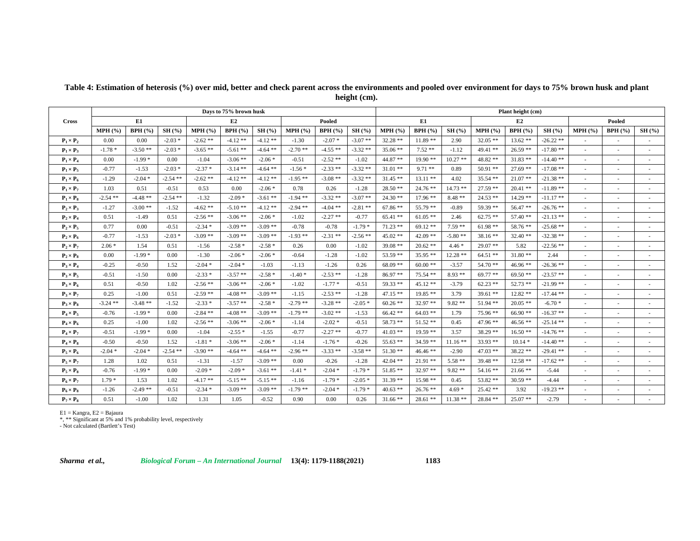|                  |            | Days to 75% brown husk |            |            |            | Plant height (cm) |            |            |            |            |                |           |            |            |             |                          |                          |                          |
|------------------|------------|------------------------|------------|------------|------------|-------------------|------------|------------|------------|------------|----------------|-----------|------------|------------|-------------|--------------------------|--------------------------|--------------------------|
| <b>Cross</b>     |            | E1                     |            |            | E2         |                   |            | Pooled     |            |            | E1             |           |            | E2         |             |                          | Pooled                   |                          |
|                  | MPH(%      | BPH(%)                 | SH(%)      | MPH(% )    | BPH(%)     | SH(%)             | MPH(%      | BPH(%)     | SH(%)      | MPH(% )    | <b>BPH</b> (%) | SH(%)     | MPH(% )    | BPH(%)     | SH(%)       | MPH(%                    | BPH(%)                   | SH(%)                    |
| $P_1 \times P_2$ | 0.00       | 0.00                   | $-2.03*$   | $-2.62**$  | $-4.12**$  | $-4.12**$         | $-1.30$    | $-2.07*$   | $-3.07**$  | $32.28$ ** | $11.89**$      | 2.90      | $32.05**$  | $13.62**$  | $-26.22**$  |                          |                          |                          |
| $P_1 \times P_3$ | $-1.78*$   | $-3.50**$              | $-2.03*$   | $-3.65**$  | $-5.61**$  | $-4.64$ **        | $-2.70**$  | $-4.55**$  | $-3.32**$  | $35.06$ ** | $7.52**$       | $-1.12$   | 49.41 **   | $26.59**$  | $-17.80**$  | $\sim$                   | ٠                        | ٠                        |
| $P_1 \times P_4$ | 0.00       | $-1.99*$               | 0.00       | $-1.04$    | $-3.06**$  | $-2.06*$          | $-0.51$    | $-2.52**$  | $-1.02$    | $44.87$ ** | $19.90**$      | $10.27**$ | 48.82 **   | $31.83**$  | $-14.40**$  | ٠                        | ٠                        | ٠                        |
| $P_1 \times P_5$ | $-0.77$    | $-1.53$                | $-2.03*$   | $-2.37*$   | $-3.14$ ** | $-4.64$ **        | $-1.56*$   | $-2.33$ ** | $-3.32**$  | $31.01$ ** | $9.71**$       | 0.89      | $50.91**$  | $27.69**$  | $-17.08$ ** | $\overline{\phantom{a}}$ | ٠                        |                          |
| $P_1 \times P_6$ | $-1.29$    | $-2.04*$               | $-2.54$ ** | $-2.62**$  | $-4.12**$  | $-4.12**$         | $-1.95**$  | $-3.08**$  | $-3.32**$  | $31.45$ ** | $13.11**$      | 4.02      | $35.54$ ** | $21.07**$  | $-21.38**$  |                          |                          |                          |
| $P_1 \times P_7$ | 1.03       | 0.51                   | $-0.51$    | 0.53       | 0.00       | $-2.06*$          | 0.78       | 0.26       | $-1.28$    | $28.50**$  | $24.76$ **     | $14.73**$ | $27.59$ ** | $20.41**$  | $-11.89**$  |                          |                          |                          |
| $P_1 \times P_8$ | $-2.54$ ** | $-4.48**$              | $-2.54$ ** | $-1.32$    | $-2.09*$   | $-3.61$ **        | $-1.94$ ** | $-3.32**$  | $-3.07**$  | $24.30**$  | $17.96**$      | $8.48**$  | $24.53$ ** | $14.29**$  | $-11.17**$  | $\sim$                   | ٠                        |                          |
| $P_2 \times P_3$ | $-1.27$    | $-3.00**$              | $-1.52$    | $-4.62**$  | $-5.10**$  | $-4.12**$         | $-2.94$ ** | $-4.04$ ** | $-2.81**$  | $67.86**$  | $55.79$ **     | $-0.89$   | 59.39 **   | 56.47 **   | $-26.76**$  | ٠                        | ٠                        |                          |
| $P_2 \times P_4$ | 0.51       | $-1.49$                | 0.51       | $-2.56**$  | $-3.06**$  | $-2.06*$          | $-1.02$    | $-2.27$ ** | $-0.77$    | $65.41$ ** | $61.05**$      | 2.46      | $62.75**$  | $57.40**$  | $-21.13$ ** | $\sim$                   | ٠                        | $\overline{\phantom{a}}$ |
| $P_2 \times P_5$ | 0.77       | 0.00                   | $-0.51$    | $-2.34*$   | $-3.09**$  | $-3.09**$         | $-0.78$    | $-0.78$    | $-1.79*$   | $71.23$ ** | $69.12**$      | $7.59**$  | $61.98**$  | 58.76 **   | $-25.68**$  |                          | ٠                        |                          |
| $P_2 \times P_6$ | $-0.77$    | $-1.53$                | $-2.03*$   | $-3.09**$  | $-3.09**$  | $-3.09**$         | $-1.93**$  | $-2.31$ ** | $-2.56$ ** | $45.02$ ** | $42.09**$      | $-5.80**$ | $38.16**$  | $32.40**$  | $-32.38**$  |                          |                          |                          |
| $P_2 \times P_7$ | $2.06*$    | 1.54                   | 0.51       | $-1.56$    | $-2.58*$   | $-2.58*$          | 0.26       | 0.00       | $-1.02$    | $39.08$ ** | $20.62$ **     | $4.46*$   | $29.07**$  | 5.82       | $-22.56$ ** | ä,                       | ٠                        |                          |
| $P_2 \times P_8$ | 0.00       | $-1.99*$               | 0.00       | $-1.30$    | $-2.06*$   | $-2.06*$          | $-0.64$    | $-1.28$    | $-1.02$    | $53.59$ ** | $35.95**$      | $12.28**$ | $64.51**$  | $31.80**$  | 2.44        |                          |                          |                          |
| $P_3 \times P_4$ | $-0.25$    | $-0.50$                | 1.52       | $-2.04*$   | $-2.04*$   | $-1.03$           | $-1.13$    | $-1.26$    | 0.26       | $68.09**$  | $60.00**$      | $-3.57$   | $54.70**$  | $46.96**$  | $-26.36**$  | ä,                       | $\overline{\phantom{a}}$ |                          |
| $P_3 \times P_5$ | $-0.51$    | $-1.50$                | 0.00       | $-2.33*$   | $-3.57**$  | $-2.58*$          | $-1.40*$   | $-2.53$ ** | $-1.28$    | $86.97**$  | $75.54$ **     | $8.93**$  | $69.77**$  | $69.50**$  | $-23.57**$  | ٠                        | ٠                        |                          |
| $P_3 \times P_6$ | 0.51       | $-0.50$                | 1.02       | $-2.56$ ** | $-3.06$ ** | $-2.06*$          | $-1.02$    | $-1.77*$   | $-0.51$    | $59.33**$  | $45.12**$      | $-3.79$   | $62.23$ ** | $52.73**$  | $-21.99$ ** | $\sim$                   | ٠                        | ٠                        |
| $P_3 \times P_7$ | 0.25       | $-1.00$                | 0.51       | $-2.59$ ** | $-4.08**$  | $-3.09**$         | $-1.15$    | $-2.53$ ** | $-1.28$    | $47.15**$  | $19.85**$      | 3.79      | $39.61**$  | $12.82**$  | $-17.44$ ** | ٠                        | ٠                        |                          |
| $P_3 \times P_8$ | $-3.24$ ** | $-3.48**$              | $-1.52$    | $-2.33*$   | $-3.57**$  | $-2.58*$          | $-2.79$ ** | $-3.28**$  | $-2.05*$   | $60.26$ ** | $32.97**$      | $9.82**$  | 51.94 **   | $20.05$ ** | $-6.70*$    |                          |                          |                          |
| $P_4 \times P_5$ | $-0.76$    | $-1.99*$               | 0.00       | $-2.84$ ** | $-4.08**$  | $-3.09$ **        | $-1.79**$  | $-3.02**$  | $-1.53$    | $66.42**$  | $64.03$ **     | 1.79      | 75.96 **   | $66.90**$  | $-16.37**$  |                          |                          |                          |
| $P_4 \times P_6$ | 0.25       | $-1.00$                | 1.02       | $-2.56$ ** | $-3.06**$  | $-2.06*$          | $-1.14$    | $-2.02*$   | $-0.51$    | $58.73$ ** | $51.52**$      | 0.45      | $47.96**$  | $46.56**$  | $-25.14**$  |                          |                          |                          |
| $P_4 \times P_7$ | $-0.51$    | $-1.99*$               | 0.00       | $-1.04$    | $-2.55*$   | $-1.55$           | $-0.77$    | $-2.27$ ** | $-0.77$    | $41.03$ ** | $19.59**$      | 3.57      | $38.29**$  | $16.50**$  | $-14.76$ ** | $\sim$                   | ×.                       | $\sim$                   |
| $P_4 \times P_8$ | $-0.50$    | $-0.50$                | 1.52       | $-1.81*$   | $-3.06$ ** | $-2.06*$          | $-1.14$    | $-1.76*$   | $-0.26$    | $55.63$ ** | $34.59**$      | $11.16**$ | $33.93**$  | $10.14*$   | $-14.40**$  |                          | ٠                        |                          |
| $P_5 \times P_6$ | $-2.04*$   | $-2.04*$               | $-2.54$ ** | $-3.90**$  | $-4.64$ ** | $-4.64$ **        | $-2.96$ ** | $-3.33**$  | $-3.58$ ** | $51.30**$  | $46.46**$      | $-2.90$   | $47.03**$  | $38.22**$  | $-29.41$ ** | ٠                        | ٠                        |                          |
| $P_5 \times P_7$ | 1.28       | 1.02                   | 0.51       | $-1.31$    | $-1.57$    | $-3.09**$         | 0.00       | $-0.26$    | $-1.28$    | $42.04$ ** | $21.91**$      | $5.58**$  | 39.48 **   | $12.58$ ** | $-17.62$ ** | ٠                        | ٠                        | ٠                        |
| $P_5 \times P_8$ | $-0.76$    | $-1.99*$               | 0.00       | $-2.09*$   | $-2.09*$   | $-3.61**$         | $-1.41*$   | $-2.04*$   | $-1.79*$   | 51.85 **   | $32.97**$      | $9.82**$  | 54.16 **   | $21.66**$  | $-5.44$     |                          |                          |                          |
| $P_6 \times P_7$ | $1.79*$    | 1.53                   | 1.02       | $-4.17**$  | $-5.15**$  | $-5.15**$         | $-1.16$    | $-1.79*$   | $-2.05*$   | $31.39**$  | $15.98**$      | 0.45      | $53.82**$  | $30.59**$  | $-4.44$     | ä,                       | ٠                        |                          |
| $P_6 \times P_8$ | $-1.26$    | $-2.49**$              | $-0.51$    | $-2.34*$   | $-3.09**$  | $-3.09**$         | $-1.79$ ** | $-2.04*$   | $-1.79*$   | $40.63$ ** | $26.76$ **     | $4.69*$   | $25.42**$  | 3.92       | $-19.23$ ** |                          |                          |                          |
| $P_7 \times P_8$ | 0.51       | $-1.00$                | 1.02       | 1.31       | 1.05       | $-0.52$           | 0.90       | 0.00       | 0.26       | $31.66**$  | $28.61**$      | $11.38**$ | 28.84 **   | $25.07**$  | $-2.79$     |                          |                          | $\overline{\phantom{a}}$ |

**Table 4: Estimation of heterosis (%) over mid, better and check parent across the environments and pooled over environment for days to 75% brown husk and plant height (cm).**

E1 = Kangra, E2 = Bajaura \*, \*\* Significant at 5% and 1% probability level, respectively - Not calculated (Bartlett's Test)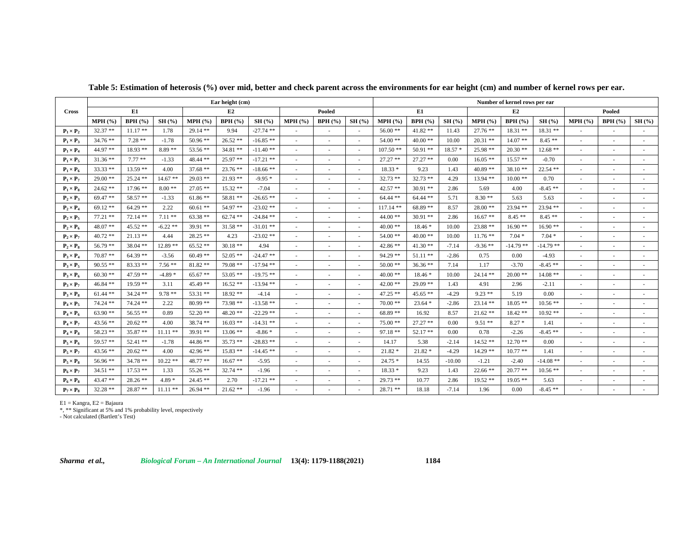|                  |            |            |            |            | Ear height (cm) |             |                          |        |                          | Number of kernel rows per ear |            |          |            |            |            |                          |                          |        |  |  |
|------------------|------------|------------|------------|------------|-----------------|-------------|--------------------------|--------|--------------------------|-------------------------------|------------|----------|------------|------------|------------|--------------------------|--------------------------|--------|--|--|
| <b>Cross</b>     |            | E1         |            |            | E2              |             |                          | Pooled |                          |                               | E1         |          |            | E2         |            |                          | Pooled                   |        |  |  |
|                  | MPH(%)     | BPH(%)     | SH(%)      | MPH (%)    | BPH(%)          | SH(%)       | MPH(%                    | BPH(%) | SH(%)                    | MPH(%                         | BPH(%)     | SH(%)    | MPH(%)     | BPH(%)     | SH(%)      | MPH(%                    | BPH(%)                   | SH(%)  |  |  |
| $P_1 \times P_2$ | $32.37**$  | $11.17**$  | 1.78       | $29.14$ ** | 9.94            | $-27.74$ ** |                          | ٠      | $\sim$                   | $56.00**$                     | $41.82$ ** | 11.43    | $27.76$ ** | $18.31**$  | $18.31**$  |                          | ٠                        |        |  |  |
| $P_1 \times P_3$ | $34.76**$  | $7.28**$   | $-1.78$    | $50.96$ ** | $26.52**$       | $-16.85**$  |                          |        |                          | $54.00**$                     | $40.00$ ** | 10.00    | $20.31**$  | $14.07**$  | $8.45**$   | $\overline{\phantom{a}}$ | ٠                        |        |  |  |
| $P_1 \times P_4$ | 44.97 **   | $18.93**$  | $8.89**$   | 53.56 **   | $34.81$ **      | $-11.40**$  |                          |        |                          | $107.50**$                    | $50.91$ ** | $18.57*$ | $25.98**$  | $20.30**$  | $12.68**$  |                          |                          |        |  |  |
| $P_1 \times P_5$ | $31.36**$  | $7.77**$   | $-1.33$    | $48.44$ ** | $25.97**$       | $-17.21$ ** |                          |        | ä,                       | $27.27$ **                    | $27.27$ ** | 0.00     | $16.05**$  | $15.57**$  | $-0.70$    | $\sim$                   | ٠                        |        |  |  |
| $P_1 \times P_6$ | $33.33**$  | $13.59**$  | 4.00       | $37.68$ ** | $23.76$ **      | $-18.66$ ** |                          |        | ÷.                       | $18.33*$                      | 9.23       | 1.43     | $40.89**$  | $38.10**$  | $22.54$ ** | $\sim$                   | ٠                        |        |  |  |
| $P_1 \times P_7$ | $29.00**$  | $25.24$ ** | $14.67**$  | $29.03$ ** | $21.93$ **      | $-9.95*$    | ٠                        |        | $\sim$                   | $32.73$ **                    | $32.73$ ** | 4.29     | $13.94**$  | $10.00**$  | 0.70       | $\overline{\phantom{a}}$ | $\overline{\phantom{a}}$ |        |  |  |
| $P_1 \times P_8$ | $24.62$ ** | $17.96$ ** | $8.00**$   | $27.05**$  | $15.32**$       | $-7.04$     |                          |        | $\sim$                   | $42.57$ **                    | $30.91$ ** | 2.86     | 5.69       | 4.00       | $-8.45**$  | $\overline{\phantom{a}}$ | $\sim$                   |        |  |  |
| $P_2 \times P_3$ | 69.47**    | 58.57 **   | $-1.33$    | $61.86$ ** | 58.81 **        | $-26.65$ ** |                          |        | $\sim$                   | $64.44$ **                    | $64.44$ ** | 5.71     | $8.30**$   | 5.63       | 5.63       | $\overline{\phantom{a}}$ | ٠                        |        |  |  |
| $P_2 \times P_4$ | $69.12**$  | $64.29$ ** | 2.22       | $60.61$ ** | 54.97 **        | $-23.02$ ** |                          |        | $\sim$                   | $117.14$ **                   | $68.89**$  | 8.57     | $28.00**$  | $23.94$ ** | 23.94 **   | $\overline{\phantom{a}}$ | ٠                        |        |  |  |
| $P_2 \times P_5$ | $77.21$ ** | $72.14**$  | $7.11**$   | $63.38**$  | $62.74$ **      | $-24.84$ ** |                          |        |                          | $44.00**$                     | $30.91$ ** | 2.86     | $16.67**$  | $8.45**$   | $8.45**$   |                          |                          |        |  |  |
| $P_2 \times P_6$ | $48.07**$  | $45.52**$  | $-6.22**$  | $39.91$ ** | $31.58$ **      | $-31.01$ ** | $\overline{\phantom{a}}$ |        | $\sim$                   | $40.00**$                     | $18.46*$   | 10.00    | $23.88**$  | $16.90**$  | $16.90**$  | $\overline{\phantom{a}}$ | $\sim$                   |        |  |  |
| $P_2 \times P_7$ | $40.72**$  | $21.13**$  | 4.44       | $28.25$ ** | 4.23            | $-23.02$ ** |                          |        |                          | $54.00**$                     | $40.00**$  | 10.00    | $11.76**$  | $7.04*$    | $7.04*$    | $\overline{\phantom{a}}$ | ٠                        |        |  |  |
| $P_2 \times P_8$ | $56.79**$  | $38.04$ ** | $12.89$ ** | $65.52$ ** | $30.18**$       | 4.94        | $\overline{\phantom{a}}$ | ٠      | $\sim$                   | $42.86**$                     | $41.30**$  | $-7.14$  | $-9.36**$  | $-14.79**$ | $-14.79**$ | $\overline{\phantom{a}}$ | $\sim$                   | $\sim$ |  |  |
| $P_3 \times P_4$ | $70.87**$  | $64.39**$  | $-3.56$    | $60.49**$  | $52.05$ **      | $-24.47$ ** |                          |        | $\sim$                   | $94.29$ **                    | $51.11$ ** | $-2.86$  | 0.75       | 0.00       | $-4.93$    | $\sim$                   | $\sim$                   |        |  |  |
| $P_3 \times P_5$ | $90.55$ ** | $83.33**$  | $7.56**$   | $81.82$ ** | $79.08$ **      | $-17.94$ ** |                          |        |                          | $50.00$ **                    | $36.36**$  | 7.14     | 1.17       | $-3.70$    | $-8.45**$  |                          |                          |        |  |  |
| $P_3 \times P_6$ | $60.30**$  | $47.59**$  | $-4.89*$   | $65.67$ ** | $53.05$ **      | $-19.75$ ** |                          |        |                          | $40.00**$                     | $18.46*$   | 10.00    | $24.14$ ** | $20.00**$  | $14.08**$  | $\overline{\phantom{a}}$ | $\sim$                   |        |  |  |
| $P_3 \times P_7$ | $46.84**$  | $19.59**$  | 3.11       | $45.49**$  | $16.52**$       | $-13.94$ ** |                          |        |                          | $42.00**$                     | $29.09$ ** | 1.43     | 4.91       | 2.96       | $-2.11$    | ٠                        |                          |        |  |  |
| $P_3 \times P_8$ | $61.44**$  | $34.24$ ** | $9.78**$   | $53.31$ ** | $18.92**$       | $-4.14$     | $\overline{\phantom{a}}$ |        | ×.                       | $47.25$ **                    | $45.65$ ** | $-4.29$  | $9.23**$   | 5.19       | 0.00       | $\overline{\phantom{a}}$ | ٠                        |        |  |  |
| $P_4 \times P_5$ | $74.24$ ** | $74.24$ ** | 2.22       | $80.99**$  | 73.98 **        | $-13.58$ ** |                          |        | $\sim$                   | $70.00**$                     | $23.64*$   | $-2.86$  | $23.14$ ** | $18.05$ ** | $10.56**$  | $\sim$                   | ٠                        |        |  |  |
| $P_4 \times P_6$ | $63.90**$  | $56.55**$  | 0.89       | $52.20$ ** | $48.20$ **      | $-22.29$ ** |                          |        | $\sim$                   | 68.89 **                      | 16.92      | 8.57     | $21.62**$  | $18.42**$  | $10.92**$  | $\sim$                   | $\overline{\phantom{a}}$ |        |  |  |
| $P_4 \times P_7$ | $43.56$ ** | $20.62$ ** | 4.00       | $38.74$ ** | $16.03$ **      | $-14.31$ ** | $\overline{\phantom{a}}$ |        | $\sim$                   | $75.00**$                     | $27.27$ ** | 0.00     | $9.51**$   | $8.27*$    | 1.41       | $\overline{\phantom{a}}$ | ٠                        |        |  |  |
| $P_4 \times P_8$ | $58.23$ ** | $35.87**$  | $11.11$ ** | $39.91$ ** | $13.06$ **      | $-8.86*$    |                          |        |                          | $97.18**$                     | 52.17**    | 0.00     | 0.78       | $-2.26$    | $-8.45**$  |                          |                          |        |  |  |
| $P_5 \times P_6$ | 59.57 **   | $52.41**$  | $-1.78$    | $44.86**$  | $35.73$ **      | $-28.83$ ** |                          |        |                          | 14.17                         | 5.38       | $-2.14$  | $14.52**$  | $12.70**$  | 0.00       | $\sim$                   | ٠                        |        |  |  |
| $P_5 \times P_7$ | $43.56**$  | $20.62**$  | 4.00       | $42.96$ ** | $15.83**$       | $-14.45$ ** |                          |        |                          | $21.82*$                      | $21.82*$   | $-4.29$  | $14.29**$  | $10.77$ ** | 1.41       | ٠                        |                          |        |  |  |
| $P_5 \times P_8$ | $56.96**$  | $34.78**$  | $10.22$ ** | 48.77 **   | $16.67**$       | $-5.95$     |                          |        | $\sim$                   | $24.75*$                      | 14.55      | $-10.00$ | $-1.21$    | $-2.40$    | $-14.08**$ | $\overline{\phantom{a}}$ | ٠                        |        |  |  |
| $P_6 \times P_7$ | $34.51**$  | $17.53**$  | 1.33       | $55.26$ ** | $32.74$ **      | $-1.96$     |                          |        | ٠                        | $18.33*$                      | 9.23       | 1.43     | $22.66**$  | $20.77$ ** | $10.56**$  | $\sim$                   | ٠                        |        |  |  |
| $P_6 \times P_8$ | $43.47**$  | $28.26$ ** | $4.89*$    | $24.45**$  | 2.70            | $-17.21$ ** |                          |        | $\sim$                   | $29.73**$                     | 10.77      | 2.86     | $19.52**$  | $19.05**$  | 5.63       | $\sim$                   | $\sim$                   |        |  |  |
| $P_7 \times P_8$ | $32.28**$  | $28.87**$  | $11.11**$  | $26.94$ ** | $21.62$ **      | $-1.96$     |                          |        | $\overline{\phantom{a}}$ | $28.71**$                     | 18.18      | $-7.14$  | 1.96       | 0.00       | $-8.45**$  |                          | ٠                        |        |  |  |

**Table 5: Estimation of heterosis (%) over mid, better and check parent across the environments for ear height (cm) and number of kernel rows per ear.**

E1 = Kangra, E2 = Bajaura \*, \*\* Significant at 5% and 1% probability level, respectively - Not calculated (Bartlett's Test)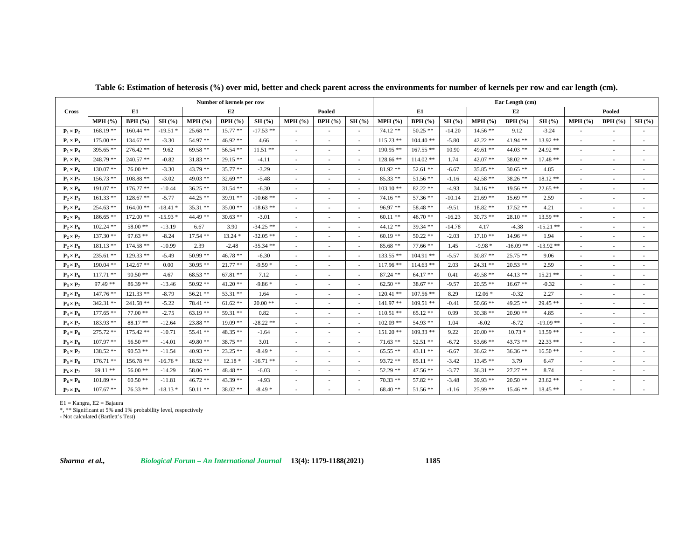|                  |             |             |           | Number of kernels per row |            |             |                          |        | Ear Length (cm)          |             |             |          |            |            |             |                          |                          |       |  |  |
|------------------|-------------|-------------|-----------|---------------------------|------------|-------------|--------------------------|--------|--------------------------|-------------|-------------|----------|------------|------------|-------------|--------------------------|--------------------------|-------|--|--|
| <b>Cross</b>     |             | E1          |           |                           | E2         |             |                          | Pooled |                          |             | E1          |          |            | E2         |             |                          | Pooled                   |       |  |  |
|                  | $MPH$ (%)   | BPH(%)      | SH(%)     | MPH (%)                   | BPH(%)     | SH(%)       | $MPH$ (%)                | BPH(%) | SH(%)                    | $MPH$ (%)   | BPH(%)      | SH(%)    | MPH (%)    | BPH(%)     | SH(%)       | MPH(%                    | BPH(%)                   | SH(%) |  |  |
| $P_1 \times P_2$ | $168.19**$  | $160.44$ ** | $-19.51*$ | $25.68**$                 | $15.77$ ** | $-17.53$ ** | ٠                        | $\sim$ | $\overline{\phantom{a}}$ | $74.12**$   | $50.25$ **  | $-14.20$ | $14.56**$  | 9.12       | $-3.24$     | $\sim$                   | $\overline{\phantom{a}}$ |       |  |  |
| $P_1 \times P_3$ | $175.00**$  | $134.67$ ** | $-3.30$   | 54.97**                   | 46.92 **   | 4.66        |                          |        | ٠                        | $115.23$ ** | $104.40$ ** | $-5.80$  | $42.22$ ** | $41.94$ ** | $13.92**$   | $\overline{\phantom{a}}$ | ٠                        |       |  |  |
| $P_1 \times P_4$ | $395.65$ ** | $276.42**$  | 9.62      | $69.58**$                 | $56.54$ ** | $11.51$ **  |                          |        |                          | $190.95$ ** | $167.55$ ** | 10.90    | 49.61 **   | $44.03$ ** | 24.92 **    |                          |                          |       |  |  |
| $P_1 \times P_5$ | $248.79$ ** | $240.57$ ** | $-0.82$   | $31.83$ **                | $29.15**$  | $-4.11$     | ÷,                       |        | $\overline{\phantom{a}}$ | 128.66 **   | $114.02$ ** | 1.74     | $42.07**$  | $38.02$ ** | $17.48**$   | $\overline{\phantom{a}}$ | ٠                        |       |  |  |
| $P_1 \times P_6$ | $130.07$ ** | $76.00**$   | $-3.30$   | $43.79**$                 | $35.77$ ** | $-3.29$     |                          |        |                          | $81.92**$   | $52.61$ **  | $-6.67$  | $35.85$ ** | $30.65$ ** | 4.85        | ٠                        |                          |       |  |  |
| $P_1 \times P_7$ | $156.73**$  | $108.88**$  | $-3.02$   | $49.03$ **                | $32.69**$  | $-5.48$     | ÷.                       |        | $\overline{\phantom{a}}$ | $85.33**$   | $51.56$ **  | $-1.16$  | $42.58**$  | $38.26$ ** | $18.12**$   | $\overline{\phantom{a}}$ | $\overline{\phantom{a}}$ |       |  |  |
| $P_1 \times P_8$ | $191.07**$  | $176.27$ ** | $-10.44$  | $36.25$ **                | $31.54$ ** | $-6.30$     |                          |        | $\overline{\phantom{a}}$ | $103.10**$  | $82.22$ **  | $-4.93$  | $34.16**$  | $19.56$ ** | $22.65$ **  | $\sim$                   | ×.                       |       |  |  |
| $P_2 \times P_3$ | $161.33**$  | $128.67$ ** | $-5.77$   | $44.25$ **                | $39.91$ ** | $-10.68$ ** | ٠                        | ٠      | $\overline{\phantom{a}}$ | $74.16**$   | $57.36**$   | $-10.14$ | $21.69$ ** | $15.69**$  | 2.59        | $\overline{\phantom{a}}$ | $\sim$                   |       |  |  |
| $P_2 \times P_4$ | $254.63$ ** | $164.00$ ** | $-18.41*$ | $35.31$ **                | $35.00$ ** | $-18.63$ ** |                          |        | ٠                        | $96.97**$   | 58.48 **    | $-9.51$  | $18.82**$  | $17.52**$  | 4.21        | $\sim$                   | ٠                        |       |  |  |
| $P_2 \times P_5$ | $186.65$ ** | $172.00$ ** | $-15.93*$ | $44.49**$                 | $30.63$ ** | $-3.01$     |                          |        |                          | $60.11$ **  | $46.70**$   | $-16.23$ | $30.73$ ** | $28.10**$  | $13.59**$   |                          |                          |       |  |  |
| $P_2 \times P_6$ | $102.24$ ** | $58.00**$   | $-13.19$  | 6.67                      | 3.90       | $-34.25$ ** | ÷.                       |        |                          | $44.12**$   | $39.34$ **  | $-14.78$ | 4.17       | $-4.38$    | $-15.21$ ** | $\overline{\phantom{a}}$ | ä,                       |       |  |  |
| $P_2 \times P_7$ | $137.30**$  | $97.63$ **  | $-8.24$   | $17.54$ **                | $13.24*$   | $-32.05$ ** |                          |        |                          | $60.19**$   | $50.22$ **  | $-2.03$  | $17.10**$  | $14.96**$  | 1.94        | ×.                       |                          |       |  |  |
| $P_2 \times P_8$ | $181.13**$  | $174.58$ ** | $-10.99$  | 2.39                      | $-2.48$    | $-35.34$ ** | $\overline{\phantom{a}}$ |        | ٠                        | $85.68**$   | $77.66**$   | 1.45     | $-9.98*$   | $-16.09**$ | $-13.92**$  | $\overline{\phantom{a}}$ | $\overline{\phantom{a}}$ |       |  |  |
| $P_3 \times P_4$ | $235.61$ ** | $129.33$ ** | $-5.49$   | $50.99$ **                | $46.78$ ** | $-6.30$     |                          |        | $\sim$                   | $133.55$ ** | $104.91$ ** | $-5.57$  | $30.87**$  | $25.75$ ** | 9.06        | $\sim$                   | ×.                       |       |  |  |
| $P_3 \times P_5$ | $190.04$ ** | $142.67$ ** | 0.00      | $30.95$ **                | $21.77$ ** | $-9.59*$    |                          |        | ٠                        | $117.96$ ** | $114.63$ ** | 2.03     | $24.31$ ** | $20.53$ ** | 2.59        | $\sim$                   | ٠                        |       |  |  |
| $P_3 \times P_6$ | $117.71$ ** | $90.50**$   | 4.67      | $68.53**$                 | $67.81$ ** | 7.12        |                          |        | ÷.                       | $87.24$ **  | $64.17**$   | 0.41     | 49.58 **   | $44.13$ ** | $15.21$ **  | $\overline{\phantom{a}}$ | ä,                       |       |  |  |
| $P_3 \times P_7$ | $97.49**$   | $86.39**$   | $-13.46$  | $50.92$ **                | $41.20$ ** | $-9.86*$    |                          |        |                          | $62.50**$   | $38.67**$   | $-9.57$  | $20.55$ ** | $16.67**$  | $-0.32$     | ä,                       |                          |       |  |  |
| $P_3 \times P_8$ | $147.76$ ** | $121.33$ ** | $-8.79$   | $56.21$ **                | $53.31**$  | 1.64        |                          |        | $\overline{\phantom{a}}$ | $120.41$ ** | $107.56$ ** | 8.29     | $12.06*$   | $-0.32$    | 2.27        | $\sim$                   | ٠                        |       |  |  |
| $P_4 \times P_5$ | $342.31$ ** | $241.58$ ** | $-5.22$   | 78.41 **                  | $61.62$ ** | $20.00**$   |                          |        | ÷.                       | $141.97**$  | $109.51$ ** | $-0.41$  | $50.66$ ** | $49.25$ ** | $29.45**$   | $\sim$                   | ×.                       |       |  |  |
| $P_4 \times P_6$ | $177.65**$  | $77.00**$   | $-2.75$   | $63.19**$                 | 59.31 **   | 0.82        |                          |        | $\sim$                   | $110.51$ ** | $65.12**$   | 0.99     | $30.38**$  | $20.90**$  | 4.85        | $\overline{\phantom{a}}$ | $\sim$                   |       |  |  |
| $P_4 \times P_7$ | 183.93 **   | $88.17**$   | $-12.64$  | $23.88**$                 | $19.09$ ** | $-28.22$ ** | $\overline{\phantom{a}}$ |        | $\overline{\phantom{a}}$ | $102.09$ ** | $54.93**$   | 1.04     | $-6.02$    | $-6.72$    | $-19.09$ ** | $\overline{\phantom{a}}$ | ٠                        |       |  |  |
| $P_4 \times P_8$ | $275.72$ ** | 175.42 **   | $-10.71$  | $55.41$ **                | $48.35$ ** | $-1.64$     |                          |        |                          | $151.20$ ** | $109.33$ ** | 9.22     | $20.00**$  | $10.73*$   | $13.59**$   |                          |                          |       |  |  |
| $P_5 \times P_6$ | $107.97**$  | $56.50**$   | $-14.01$  | $49.80**$                 | $38.75**$  | 3.01        |                          |        |                          | $71.63$ **  | $52.51$ **  | $-6.72$  | 53.66 **   | $43.73**$  | $22.33$ **  | $\overline{\phantom{a}}$ | ٠                        |       |  |  |
| $P_5 \times P_7$ | $138.52**$  | $90.53$ **  | $-11.54$  | $40.93$ **                | $23.25$ ** | $-8.49*$    |                          |        |                          | $65.55**$   | $43.11$ **  | $-6.67$  | $36.62**$  | $36.36**$  | $16.50**$   | ä,                       |                          |       |  |  |
| $P_5 \times P_8$ | $176.71**$  | $156.78**$  | $-16.76*$ | $18.52**$                 | $12.18*$   | $-16.71$ ** | ×                        |        | $\mathbf{r}$             | $93.72**$   | $85.11**$   | $-3.42$  | $13.45**$  | 3.79       | 6.47        | $\overline{\phantom{a}}$ | ٠                        |       |  |  |
| $P_6 \times P_7$ | $69.11**$   | $56.00**$   | $-14.29$  | 58.06 **                  | $48.48**$  | $-6.03$     |                          |        | ٠                        | $52.29$ **  | $47.56$ **  | $-3.77$  | $36.31$ ** | $27.27**$  | 8.74        | ٠                        | ٠                        |       |  |  |
| $P_6 \times P_8$ | $101.89**$  | $60.50**$   | $-11.81$  | $46.72**$                 | $43.39**$  | $-4.93$     | ٠                        | ٠      | $\overline{\phantom{a}}$ | $70.33$ **  | $57.82$ **  | $-3.48$  | $39.93**$  | $20.50**$  | $23.62**$   | $\overline{\phantom{a}}$ | $\sim$                   |       |  |  |
| $P_7 \times P_8$ | $107.67**$  | $76.33**$   | $-18.13*$ | $50.11**$                 | $38.02**$  | $-8.49*$    |                          |        | $\overline{\phantom{a}}$ | $68.40**$   | $51.56$ **  | $-1.16$  | $25.99$ ** | $15.46**$  | $18.45**$   |                          | ٠                        |       |  |  |

**Table 6: Estimation of heterosis (%) over mid, better and check parent across the environments for number of kernels per row and ear length (cm).**

E1 = Kangra, E2 = Bajaura \*, \*\* Significant at 5% and 1% probability level, respectively - Not calculated (Bartlett's Test)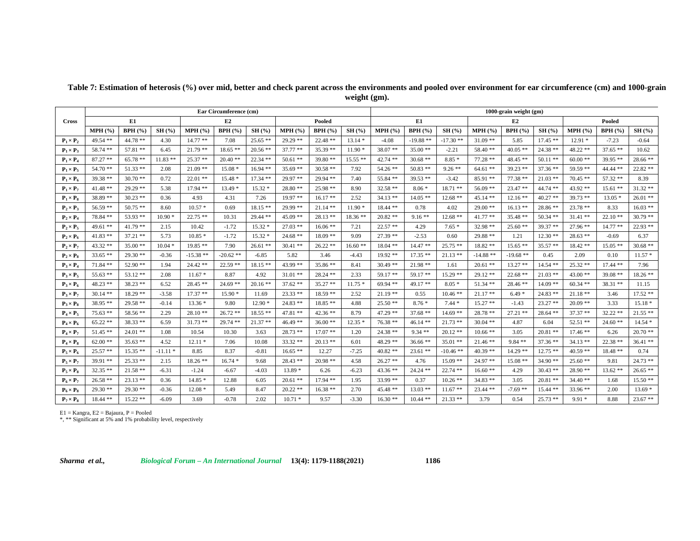|                  | Ear Circumference (cm) |                |            |            |             |            |            |            |           |            | 1000-grain weight (gm) |            |            |            |            |            |            |            |  |  |  |
|------------------|------------------------|----------------|------------|------------|-------------|------------|------------|------------|-----------|------------|------------------------|------------|------------|------------|------------|------------|------------|------------|--|--|--|
| <b>Cross</b>     | E1<br>E2<br>Pooled     |                |            |            |             |            |            |            |           |            | E1.                    |            |            | E2         |            |            | Pooled     |            |  |  |  |
|                  | MPH (%)                | <b>BPH</b> (%) | SH(%)      | MPH(%      | BPH(%)      | SH(%)      | $MPH$ (%)  | BPH(%)     | SH(%)     | MPH(% )    | <b>BPH</b> (%)         | SH(%)      | $MPH$ (%)  | BPH(%)     | SH(%)      | MPH (%)    | BPH(%)     | SH(%)      |  |  |  |
| $P_1 \times P_2$ | $49.54$ **             | $44.78**$      | 4.30       | $14.77**$  | 7.08        | $25.65$ ** | $29.29**$  | $22.48**$  | $13.14*$  | $-4.08$    | $-19.88**$             | $-17.30**$ | $31.09$ ** | 5.85       | $17.45**$  | $12.91*$   | $-7.23$    | $-0.64$    |  |  |  |
| $P_1 \times P_3$ | 58.74 **               | $57.81**$      | 6.45       | $21.79$ ** | $18.65$ **  | $20.56$ ** | $37.77**$  | $35.39**$  | $11.90*$  | $38.07**$  | $35.00**$              | $-2.21$    | $58.40**$  | $40.05**$  | $24.38**$  | $48.22$ ** | $37.65**$  | 10.62      |  |  |  |
| $P_1 \times P_4$ | $87.27**$              | $65.78**$      | $11.83$ ** | $25.37**$  | $20.40**$   | $22.34$ ** | $50.61$ ** | $39.80**$  | $15.55**$ | $42.74$ ** | $30.68$ **             | $8.85*$    | $77.28$ ** | $48.45**$  | $50.11$ ** | $60.00**$  | $39.95**$  | $28.66**$  |  |  |  |
| $P_1 \times P_5$ | $54.70**$              | $51.33$ **     | 2.08       | $21.09$ ** | $15.08*$    | $16.94**$  | $35.69$ ** | $30.58$ ** | 7.92      | $54.26$ ** | $50.83$ **             | $9.26**$   | $64.61**$  | $39.23$ ** | $37.36**$  | 59.59 **   | 44.44 **   | $22.82**$  |  |  |  |
| $P_1 \times P_6$ | 39.38 **               | $30.70**$      | 0.72       | $22.01$ ** | $15.48*$    | $17.34$ ** | 29.97 **   | $29.94$ ** | 7.40      | 55.84 **   | $39.53**$              | $-3.42$    | $85.91**$  | $77.38**$  | $21.03$ ** | $70.45$ ** | $57.32$ ** | 8.39       |  |  |  |
| $P_1 \times P_7$ | $41.48**$              | $29.29**$      | 5.38       | $17.94$ ** | $13.49*$    | $15.32*$   | $28.80**$  | $25.98**$  | 8.90      | $32.58$ ** | $8.06*$                | $18.71$ ** | $56.09$ ** | $23.47**$  | 44.74 **   | $43.92**$  | $15.61$ ** | $31.32**$  |  |  |  |
| $P_1 \times P_8$ | 38.89 **               | $30.23$ **     | 0.36       | 4.93       | 4.31        | 7.26       | $19.97**$  | $16.17**$  | 2.52      | $34.13**$  | $14.05$ **             | $12.68**$  | $45.14**$  | $12.16$ ** | $40.27$ ** | $39.73$ ** | $13.05*$   | $26.01**$  |  |  |  |
| $P_2 \times P_3$ | $56.59$ **             | $50.75$ **     | 8.60       | $10.57*$   | 0.69        | $18.15**$  | $29.99**$  | $21.14$ ** | $11.90*$  | $18.44$ ** | 0.78                   | 4.02       | $29.00**$  | $16.13**$  | $28.86**$  | $23.78$ ** | 8.33       | $16.03**$  |  |  |  |
| $P_2 \times P_4$ | 78.84 **               | $53.93**$      | $10.90*$   | $22.75$ ** | 10.31       | 29.44 **   | $45.09$ ** | $28.13**$  | $18.36**$ | $20.82**$  | $9.16**$               | $12.68**$  | $41.77**$  | $35.48**$  | $50.34$ ** | $31.41$ ** | $22.10**$  | $30.79**$  |  |  |  |
| $P_2 \times P_5$ | $49.61$ **             | $41.79**$      | 2.15       | 10.42      | $-1.72$     | $15.32*$   | $27.03$ ** | $16.06**$  | 7.21      | $22.57$ ** | 4.29                   | $7.65*$    | $32.98**$  | $25.60**$  | $39.37**$  | $27.96**$  | $14.77$ ** | $22.93**$  |  |  |  |
| $P_2 \times P_6$ | $41.83$ **             | $37.21$ **     | 5.73       | $10.85*$   | $-1.72$     | $15.32*$   | $24.68$ ** | $18.09**$  | 9.09      | $27.39**$  | $-2.53$                | 0.60       | 29.88 **   | 1.21       | $12.30**$  | $28.63**$  | $-0.69$    | 6.37       |  |  |  |
| $P_2 \times P_7$ | $43.32**$              | $35.00**$      | $10.04*$   | $19.85**$  | 7.90        | $26.61$ ** | $30.41$ ** | $26.22**$  | $16.60**$ | $18.04$ ** | $14.47**$              | $25.75$ ** | $18.82**$  | $15.65$ ** | $35.57**$  | $18.42**$  | $15.05**$  | $30.68**$  |  |  |  |
| $P_2 \times P_8$ | $33.65$ **             | $29.30**$      | $-0.36$    | $-15.38**$ | $-20.62$ ** | $-6.85$    | 5.82       | 3.46       | -4.43     | $19.92**$  | $17.35$ **             | $21.13$ ** | $-14.88**$ | $-19.68**$ | 0.45       | 2.09       | 0.10       | $11.57*$   |  |  |  |
| $P_3 \times P_4$ | $71.84$ **             | $52.90**$      | 1.94       | $24.42**$  | $22.59$ **  | $18.15**$  | 43.99 **   | $35.86**$  | 8.41      | $30.49$ ** | $21.98$ **             | 1.61       | $20.61$ ** | $13.27**$  | $14.54$ ** | $25.32$ ** | $17.44$ ** | 7.96       |  |  |  |
| $P_3 \times P_5$ | $55.63$ **             | $53.12**$      | 2.08       | $11.67*$   | 8.87        | 4.92       | $31.01$ ** | $28.24$ ** | 2.33      | $59.17**$  | $59.17**$              | $15.29$ ** | $29.12**$  | $22.68**$  | $21.03$ ** | $43.00**$  | $39.08$ ** | $18.26**$  |  |  |  |
| $P_3 \times P_6$ | $48.23$ **             | $38.23**$      | 6.52       | $28.45**$  | $24.69$ **  | $20.16$ ** | $37.62**$  | $35.27**$  | $11.75*$  | $69.94$ ** | 49.17 **               | $8.05*$    | $51.34$ ** | $28.46**$  | $14.09**$  | $60.34$ ** | $38.31$ ** | 11.15      |  |  |  |
| $P_3 \times P_7$ | $30.14$ **             | $18.29**$      | $-3.58$    | $17.37**$  | $15.90*$    | 11.69      | $23.33**$  | $18.59**$  | 2.52      | $21.19**$  | 0.55                   | $10.46$ ** | $21.17**$  | $6.49*$    | $24.83$ ** | $21.18**$  | 3.46       | $17.52**$  |  |  |  |
| $P_3 \times P_8$ | $38.95**$              | $29.58**$      | $-0.14$    | $13.36*$   | 9.80        | $12.90*$   | $24.83$ ** | $18.85**$  | 4.88      | $25.50**$  | $8.76*$                | $7.44*$    | $15.27$ ** | $-1.43$    | $23.27$ ** | $20.09$ ** | 3.33       | $15.18*$   |  |  |  |
| $P_4 \times P_5$ | $75.63**$              | $58.56**$      | 2.29       | $28.10**$  | $26.72**$   | 18.55 **   | $47.81**$  | $42.36**$  | 8.79      | $47.29$ ** | $37.68**$              | $14.69**$  | $28.78**$  | $27.21$ ** | $28.64$ ** | $37.37**$  | $32.22$ ** | $21.55$ ** |  |  |  |
| $P_4 \times P_6$ | $65.22**$              | $38.33**$      | 6.59       | $31.73$ ** | $29.74$ **  | $21.37**$  | $46.49**$  | $36.00**$  | $12.35*$  | $76.38**$  | $46.14**$              | $21.73$ ** | $30.04$ ** | 4.87       | 6.04       | $52.51$ ** | $24.60**$  | $14.54*$   |  |  |  |
| $P_4 \times P_7$ | $51.45**$              | $24.01$ **     | 1.08       | 10.54      | 10.30       | 3.63       | $28.73**$  | $17.07**$  | 1.20      | $24.38**$  | $9.34**$               | $20.12$ ** | $10.66$ ** | 3.05       | $20.81$ ** | $17.46**$  | 6.26       | $20.70**$  |  |  |  |
| $P_4 \times P_8$ | $62.00**$              | $35.63**$      | 4.52       | $12.11*$   | 7.06        | 10.08      | $33.32**$  | $20.13$ ** | 6.01      | 48.29 **   | $36.66**$              | $35.01$ ** | $21.46**$  | $9.84**$   | $37.36**$  | $34.13**$  | $22.38**$  | $36.41**$  |  |  |  |
| $P_5 \times P_6$ | $25.57**$              | $15.35**$      | $-11.11*$  | 8.85       | 8.37        | $-0.81$    | $16.65**$  | 12.27      | $-7.25$   | $40.82$ ** | $23.61$ **             | -10.46 **  | $40.39**$  | $14.29**$  | $12.75$ ** | $40.59$ ** | $18.48**$  | 0.74       |  |  |  |
| $P_5 \times P_7$ | $39.91**$              | $25.33**$      | 2.15       | $18.26$ ** | $16.74*$    | 9.68       | $28.43**$  | $20.98$ ** | 4.58      | $26.27**$  | 4.76                   | $15.09**$  | $24.97**$  | $15.08**$  | $34.90**$  | $25.60**$  | 9.81       | $24.73**$  |  |  |  |
| $P_5 \times P_8$ | $32.35$ **             | $21.58**$      | $-6.31$    | $-1.24$    | $-6.67$     | $-4.03$    | $13.89*$   | 6.26       | $-6.23$   | $43.36**$  | $24.24$ **             | $22.74$ ** | $16.60**$  | 4.29       | $30.43$ ** | $28.90**$  | $13.62**$  | $26.65**$  |  |  |  |
| $P_6 \times P_7$ | $26.58**$              | $23.13**$      | 0.36       | $14.85*$   | 12.88       | 6.05       | $20.61$ ** | $17.94**$  | 1.95      | 33.99 **   | 0.37                   | $10.26$ ** | $34.83$ ** | 3.05       | $20.81$ ** | $34.40**$  | 1.68       | $15.50**$  |  |  |  |
| $P_6 \times P_8$ | $29.30**$              | $29.30**$      | $-0.36$    | $12.08*$   | 5.49        | 8.47       | $20.22$ ** | $16.38**$  | 2.70      | 45.48 **   | $13.03$ **             | $11.67**$  | $23.44$ ** | $-7.69**$  | $15.44$ ** | $33.96**$  | 2.00       | $13.69*$   |  |  |  |
| $P_7 \times P_8$ | 18.44 **               | $15.22**$      | $-6.09$    | 3.69       | $-0.78$     | 2.02       | $10.71*$   | 9.57       | $-3.30$   | $16.30**$  | $10.44$ **             | $21.33$ ** | 3.79       | 0.54       | $25.73$ ** | $9.91*$    | 8.88       | $23.67**$  |  |  |  |

**Table 7: Estimation of heterosis (%) over mid, better and check parent across the environments and pooled over environment for ear circumference (cm) and 1000-grain weight (gm).**

E1 = Kangra, E2 = Bajaura, P = Pooled \*, \*\* Significant at 5% and 1% probability level, respectively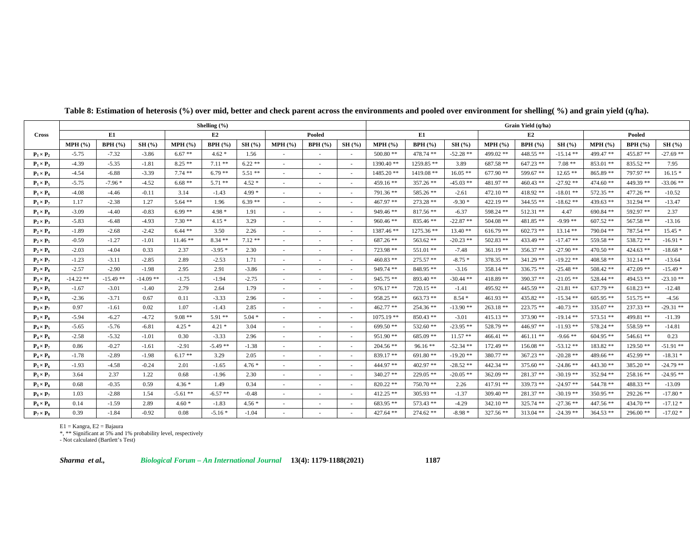|                  |                    |             |             |           | Shelling $(\% )$ |          |        |                          |                          | Grain Yield (q/ha) |             |             |             |             |             |             |             |             |  |  |  |
|------------------|--------------------|-------------|-------------|-----------|------------------|----------|--------|--------------------------|--------------------------|--------------------|-------------|-------------|-------------|-------------|-------------|-------------|-------------|-------------|--|--|--|
| <b>Cross</b>     | E1<br>E2<br>Pooled |             |             |           |                  |          |        |                          |                          | E1<br>E2<br>Pooled |             |             |             |             |             |             |             |             |  |  |  |
|                  | $MPH$ (%)          | BPH(%)      | SH(%)       | $MPH$ (%) | BPH(%)           | SH(%)    | MPH(%) | BPH(%)                   | SH(%)                    | MPH(%)             | BPH(%)      | SH(%)       | MPH (%)     | BPH(%)      | SH(%)       | MPH(%)      | BPH(%)      | SH(%)       |  |  |  |
| $P_1 \times P_2$ | $-5.75$            | $-7.32$     | $-3.86$     | $6.67**$  | $4.62*$          | 1.56     |        |                          |                          | $500.80**$         | 478.74 **   | $-52.28$ ** | 499.02 **   | $448.55$ ** | $-15.14**$  | 499.47**    | 455.87**    | $-27.69$ ** |  |  |  |
| $P_1 \times P_3$ | $-4.39$            | $-5.35$     | $-1.81$     | $8.25**$  | $7.11**$         | $6.22**$ | $\sim$ | ٠                        | $\sim$                   | $1390.40**$        | 1259.85**   | 3.89        | $687.58$ ** | $647.23$ ** | $7.08**$    | $853.01$ ** | $835.52**$  | 7.95        |  |  |  |
| $P_1 \times P_4$ | $-4.54$            | $-6.88$     | $-3.39$     | $7.74$ ** | $6.79**$         | $5.51**$ |        | ٠                        | $\sim$                   | $1485.20$ **       | 1419.08 **  | $16.05**$   | $677.90**$  | 599.67**    | $12.65$ **  | $865.89**$  | 797.97 **   | $16.15*$    |  |  |  |
| $P_1 \times P_5$ | $-5.75$            | $-7.96*$    | $-4.52$     | $6.68**$  | $5.71$ **        | $4.52*$  | $\sim$ | ٠                        | $\sim$                   | 459.16**           | 357.26 **   | $-45.03$ ** | 481.97 **   | $460.43$ ** | $-27.92**$  | $474.60**$  | 449.39 **   | $-33.06$ ** |  |  |  |
| $P_1 \times P_6$ | $-4.08$            | -4.46       | $-0.11$     | 3.14      | $-1.43$          | $4.99*$  |        | ٠                        | $\sim$                   | 791.36 **          | 585.26 **   | $-2.61$     | $472.10**$  | $418.92**$  | $-18.01**$  | 572.35 **   | $477.26$ ** | $-10.52$    |  |  |  |
| $P_1 \times P_7$ | 1.17               | $-2.38$     | 1.27        | $5.64$ ** | 1.96             | $6.39**$ |        | ٠                        | $\sim$                   | $467.97**$         | $273.28$ ** | $-9.30*$    | $422.19$ ** | $344.55$ ** | $-18.62**$  | $439.63**$  | 312.94 **   | $-13.47$    |  |  |  |
| $P_1 \times P_8$ | $-3.09$            | $-4.40$     | $-0.83$     | $6.99**$  | $4.98*$          | 1.91     | $\sim$ | ٠                        | $\sim$                   | 949.46 **          | $817.56$ ** | $-6.37$     | 598.24 **   | 512.31 **   | 4.47        | 690.84 **   | 592.97 **   | 2.37        |  |  |  |
| $P_2 \times P_3$ | $-5.83$            | $-6.48$     | $-4.93$     | $7.30**$  | $4.15*$          | 3.29     |        |                          |                          | $960.46$ **        | 835.46 **   | $-22.87**$  | $504.08$ ** | $481.85$ ** | $-9.99**$   | $607.52**$  | 567.58 **   | $-13.16$    |  |  |  |
| $P_2 \times P_4$ | $-1.89$            | $-2.68$     | $-2.42$     | $6.44**$  | 3.50             | 2.26     | $\sim$ |                          | $\sim$                   | 1387.46 **         | 1275.36 **  | $13.40**$   | $616.79$ ** | $602.73$ ** | $13.14$ **  | 790.04 **   | 787.54 **   | $15.45*$    |  |  |  |
| $P_2 \times P_5$ | $-0.59$            | $-1.27$     | $-1.01$     | $11.46**$ | $8.34**$         | $7.12**$ | $\sim$ | ٠                        | $\sim$                   | 687.26 **          | $563.62$ ** | $-20.23$ ** | $502.83$ ** | $433.49$ ** | $-17.47**$  | 559.58 **   | 538.72 **   | $-16.91*$   |  |  |  |
| $P_2 \times P_6$ | $-2.03$            | $-4.04$     | 0.33        | 2.37      | $-3.95*$         | 2.30     | $\sim$ | ٠                        | $\sim$                   | 723.98 **          | $551.01$ ** | $-7.48$     | $361.19**$  | $356.37**$  | $-27.90**$  | $470.50**$  | $424.63$ ** | $-18.68*$   |  |  |  |
| $P_2 \times P_7$ | $-1.23$            | $-3.11$     | $-2.85$     | 2.89      | $-2.53$          | 1.71     | $\sim$ | ٠                        | $\sim$                   | $460.83$ **        | $275.57$ ** | $-8.75*$    | 378.35 **   | $341.29$ ** | $-19.22**$  | $408.58$ ** | $312.14$ ** | $-13.64$    |  |  |  |
| $P_2 \times P_8$ | $-2.57$            | $-2.90$     | $-1.98$     | 2.95      | 2.91             | $-3.86$  | $\sim$ | ٠                        | $\sim$                   | 949.74 **          | 848.95 **   | $-3.16$     | 358.14 **   | $336.75$ ** | $-25.48**$  | $508.42**$  | 472.09 **   | $-15.49*$   |  |  |  |
| $P_3 \times P_4$ | $-14.22$ **        | $-15.49$ ** | $-14.09$ ** | $-1.75$   | $-1.94$          | $-2.75$  | $\sim$ | $\overline{\phantom{a}}$ | $\sim$                   | $945.75$ **        | 893.40 **   | $-30.44$ ** | $418.89$ ** | 390.37**    | $-21.05**$  | 528.44**    | 494.53 **   | $-23.10**$  |  |  |  |
| $P_3 \times P_5$ | $-1.67$            | $-3.01$     | $-1.40$     | 2.79      | 2.64             | 1.79     | $\sim$ |                          | $\sim$                   | $976.17**$         | $720.15$ ** | $-1.41$     | 495.92 **   | $445.59$ ** | $-21.81**$  | $637.79**$  | $618.23$ ** | $-12.48$    |  |  |  |
| $P_3 \times P_6$ | $-2.36$            | $-3.71$     | 0.67        | 0.11      | $-3.33$          | 2.96     | $\sim$ | ٠                        | $\sim$                   | $958.25$ **        | $663.73$ ** | $8.54*$     | $461.93$ ** | $435.82$ ** | $-15.34**$  | $605.95**$  | 515.75 **   | $-4.56$     |  |  |  |
| $P_3 \times P_7$ | 0.97               | $-1.61$     | 0.02        | 1.07      | $-1.43$          | 2.85     |        |                          | $\overline{\phantom{a}}$ | $462.77**$         | $254.36$ ** | $-13.90**$  | $263.18**$  | 223.75 **   | $-40.73**$  | 335.07 **   | $237.33$ ** | $-29.31$ ** |  |  |  |
| $P_3 \times P_8$ | $-5.94$            | $-6.27$     | $-4.72$     | $9.08**$  | $5.91**$         | $5.04*$  | $\sim$ | $\overline{\phantom{a}}$ | $\sim$                   | $1075.19**$        | $850.43$ ** | $-3.01$     | $415.13$ ** | $373.90**$  | $-19.14**$  | 573.51 **   | 499.81**    | $-11.39$    |  |  |  |
| $P_4 \times P_5$ | $-5.65$            | $-5.76$     | $-6.81$     | $4.25*$   | $4.21*$          | 3.04     | $\sim$ | $\sim$                   | $\sim$                   | $699.50**$         | $532.60$ ** | $-23.95$ ** | 528.79 **   | $446.97**$  | $-11.93**$  | 578.24 **   | 558.59 **   | $-14.81$    |  |  |  |
| $P_4 \times P_6$ | $-2.58$            | $-5.32$     | $-1.01$     | 0.30      | $-3.33$          | 2.96     | $\sim$ | $\sim$                   | $\sim$                   | 951.90**           | 685.09 **   | $11.57**$   | $466.41**$  | $461.11$ ** | $-9.66**$   | $604.95**$  | $546.61$ ** | 0.23        |  |  |  |
| $P_4 \times P_7$ | 0.86               | $-0.27$     | $-1.61$     | $-2.91$   | $-5.49**$        | $-1.38$  | $\sim$ | $\overline{\phantom{a}}$ | $\sim$                   | $204.56$ **        | $96.16**$   | $-52.34$ ** | $172.49$ ** | $156.08**$  | $-53.12**$  | 183.82 **   | $129.50**$  | $-51.91$ ** |  |  |  |
| $P_4 \times P_8$ | $-1.78$            | $-2.89$     | $-1.98$     | $6.17**$  | 3.29             | 2.05     | $\sim$ | ٠                        | $\sim$                   | 839.17 **          | $691.80**$  | $-19.20$ ** | $380.77$ ** | $367.23$ ** | $-20.28$ ** | 489.66**    | 452.99 **   | $-18.31*$   |  |  |  |
| $P_5 \times P_6$ | $-1.93$            | $-4.58$     | $-0.24$     | 2.01      | $-1.65$          | $4.76*$  | $\sim$ |                          | $\sim$                   | 444.97 **          | $402.97**$  | $-28.52$ ** | 442.34 **   | $375.60**$  | $-24.86**$  | $443.30**$  | $385.20$ ** | $-24.79$ ** |  |  |  |
| $P_5 \times P_7$ | 3.64               | 2.37        | 1.22        | 0.68      | $-1.96$          | 2.30     |        |                          | $\sim$                   | $340.27$ **        | $229.05$ ** | $-20.05$ ** | $362.09$ ** | $281.37**$  | $-30.19**$  | 352.94 **   | $258.16**$  | $-24.95$ ** |  |  |  |
| $P_5 \times P_8$ | 0.68               | $-0.35$     | 0.59        | $4.36*$   | 1.49             | 0.34     | $\sim$ | ٠                        | $\sim$                   | $820.22$ **        | $750.70**$  | 2.26        | $417.91$ ** | $339.73$ ** | $-24.97**$  | 544.78 **   | 488.33 **   | $-13.09$    |  |  |  |
| $P_6 \times P_7$ | 1.03               | $-2.88$     | 1.54        | $-5.61**$ | $-6.57**$        | $-0.48$  | $\sim$ | ٠                        | $\sim$                   | $412.25$ **        | $305.93$ ** | $-1.37$     | $309.40**$  | $281.37**$  | $-30.19**$  | $350.95$ ** | 292.26 **   | $-17.80*$   |  |  |  |
| $P_6 \times P_8$ | 0.14               | $-1.59$     | 2.89        | $4.60*$   | $-1.83$          | $4.56*$  | $\sim$ |                          | $\sim$                   | 683.95 **          | 573.43 **   | $-4.29$     | $342.10**$  | 325.74 **   | $-27.36**$  | $447.56**$  | $434.70$ ** | $-17.12*$   |  |  |  |
| $P_7 \times P_8$ | 0.39               | $-1.84$     | $-0.92$     | 0.08      | $-5.16*$         | $-1.04$  |        | $\overline{\phantom{a}}$ | $\sim$                   | $427.64$ **        | $274.62**$  | $-8.98*$    | 327.56 **   | $313.04$ ** | $-24.39**$  | $364.53$ ** | $296.00**$  | $-17.02*$   |  |  |  |

# **Table 8: Estimation of heterosis (%) over mid, better and check parent across the environments and pooled over environment for shelling( %) and grain yield (q/ha).**

E1 = Kangra, E2 = Bajaura

\*, \*\* Significant at 5% and 1% probability level, respectively

- Not calculated (Bartlett's Test)

*Sharma et al., Biological Forum – An International Journal* **13(4): 1179-1188(2021) 1187**